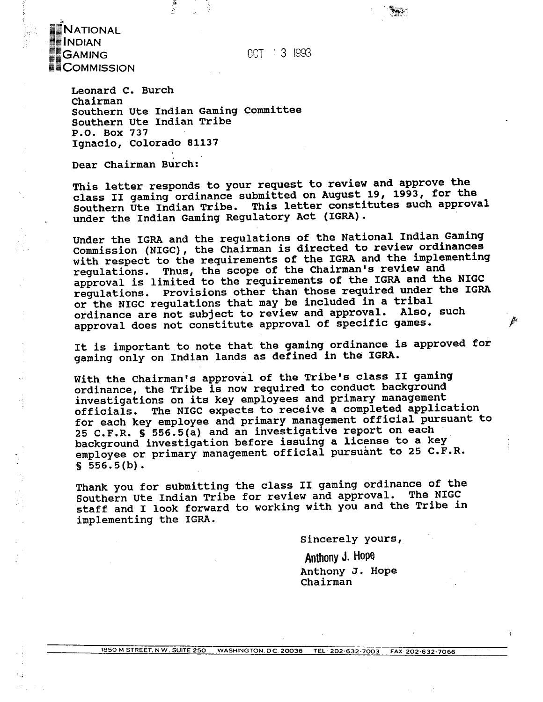OCT 3 1993

National **INDIAN GAMING COMMISSION** 

> Leonard C. Burch Chairman Southern Ute Indian Gaming Committee Southern Ute Indian Tribe P.O. Box 737 Ignacio, Colorado 81137

Dear Chairman Burch:

This letter responds to your request to review and approve the class II gaming ordinance submitted on August 19, 1993, for the Southern Ute Indian Tribe. This letter constitutes such approval under the Indian Gaming Regulatory Act (IGRA).

Under the IGRA and the regulations of the National Indian Gaming Commission (NIGC), the Chairman is directed to review ordinances with respect to the requirements of the IGRA and the implementing regulations. Thus, the scope of the Chairman's review and approval is limited to the requirements of the IGRA and the NIGC regulations. Provisions other than those required under the IGRA or the NIGC regulations that may be included in a tribal ordinance are not subject to review and approval. Also, such approval does not constitute approval of specific games.

It is important to note that the gaming ordinance is approved for gaming only on Indian lands as defined in the IGRA.

With the Chairman's approval of the Tribe's class II gaming ordinance, the Tribe is now required to conduct background investigations on its key employees and primary management officials. The NIGC expects to receive a completed application for each key employee and primary management official pursuant to 25 C.F.R. § 556.5(a) and an investigative report on each background investigation before issuing a license to a key employee or primary management official pursuant to 25 C.F.R.  $$556.5(b).$ 

Thank you for submitting the class II gaming ordinance of the Southern Ute Indian Tribe for review and approval. The NIGC staff and I look forward to working with you and the Tribe in implementing the IGRA.

Sincerely yours,

Anthony J. Hope Anthony J. Hope Chairman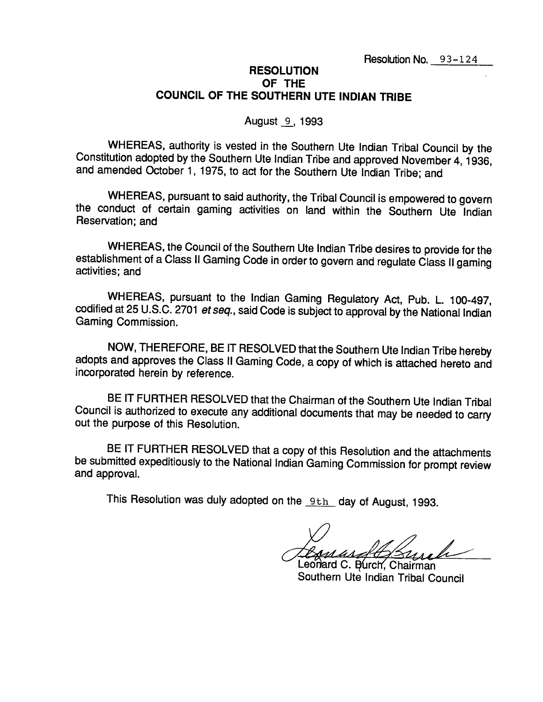## **RESOLUTION** OF THE COUNCIL OF THE SOUTHERN UTE INDIAN TRIBE

#### August 9, 1993

WHEREAS, authority is vested in the Southern Ute Indian Tribal Council by the Constitution adopted by the Southern Ute Indian Tribe and approved November 4, 1936, and amended October 1, 1975, to act for the Southern Ute Indian Tribe; and

WHEREAS, pursuant to said authority, the Tribal Council is empowered to govern the conduct of certain gaming activities on land within the Southern Ute Indian Reservation: and

WHEREAS, the Council of the Southern Ute Indian Tribe desires to provide for the establishment of a Class II Gaming Code in order to govern and regulate Class II gaming activities: and

WHEREAS, pursuant to the Indian Gaming Regulatory Act, Pub. L. 100-497, codified at 25 U.S.C. 2701 et seq., said Code is subject to approval by the National Indian Gaming Commission.

NOW, THEREFORE, BE IT RESOLVED that the Southern Ute Indian Tribe hereby adopts and approves the Class II Gaming Code, a copy of which is attached hereto and incorporated herein by reference.

BE IT FURTHER RESOLVED that the Chairman of the Southern Ute Indian Tribal Council is authorized to execute any additional documents that may be needed to carry out the purpose of this Resolution.

BE IT FURTHER RESOLVED that a copy of this Resolution and the attachments be submitted expeditiously to the National Indian Gaming Commission for prompt review and approval.

This Resolution was duly adopted on the 9th day of August, 1993.

Leonard C. Burch, Chairman Southern Ute Indian Tribal Council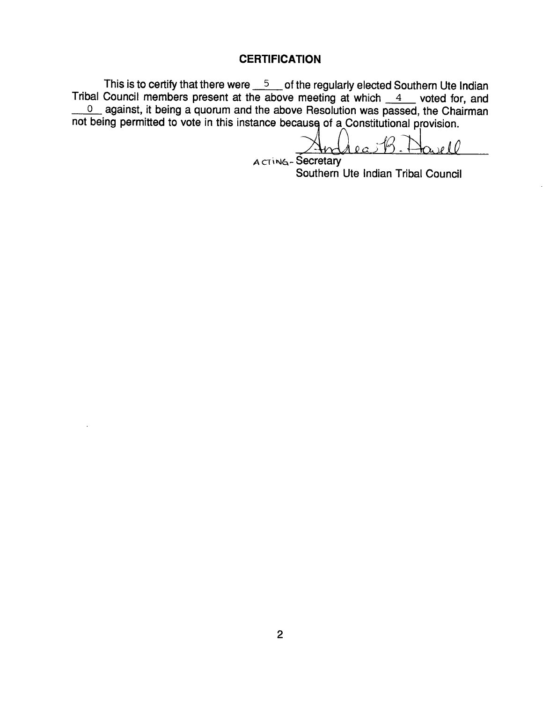# **CERTIFICATION**

This is to certify that there were  $\frac{5}{2}$  of the regularly elected Southern Ute Indian Tribal Council members present at the above meeting at which  $4$  voted for, and 0 against, it being a quorum and the above Resolution was passed, the Chairman not being permitted to vote in this instance because of a Constitutional provision.

 $\alpha$ ell

ACTING-Secretary Southern Ute Indian Tribal Council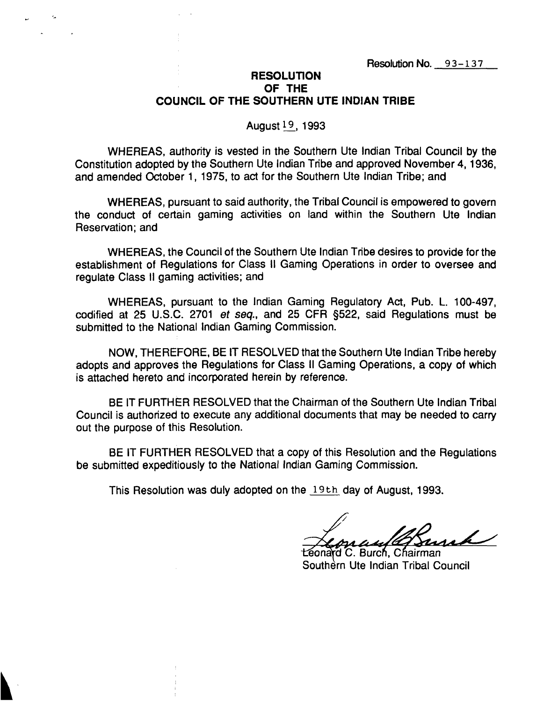## **RESOLUTiON OF THE COUNCIL OF THE SOUTHERN UTE INDIAN TRIBE**

### **Augustl9, 1993**

**WHEREAS, authority is vested in the Southern Ute Indian Tribal Council by the Constitution adopted by the Southern Ute Indian Tribe and approved November 4, 1936, and amended October 1, 1975, to act for the Southern Ute Indian Tribe; and**

**WHEREAS, pursuant to said authority, the Tribal Council is empowered to govern the conduct of certain gaming activities on land within the Southern Ute Indian Reservation; and**

**WHEREAS, the Council of the Southern Ute Indian Tribe desires to provide for the establishment of Regulations for Class II Gaming Operations in order to oversee and regulate Class II gaming activities; and**

**WHEREAS, pursuant to the Indian Gaming Regulatory Act, Pub. L. 100-497, codified at 25 U.S.C. <sup>2701</sup> et seq., and 25 CFR §522, said Regulations must be submitted to the National Indian Gaming Commission.**

**NOW, THEREFORE, BE IT RESOLVED that the Southern Ute Indian Tribe hereby adopts and approves the Regulations for Class II Gaming Operations, a copy of which is attached hereto and incorporated herein by reference.**

**BE IT FURTHER RESOLVED that the Chairman of the Southern Ute Indian Tribal Council is authorized to execute any additional documents that may be needed to carry out the purpose of this Resolution.**

**BE IT FURTHER RESOLVED that <sup>a</sup> copy of this Resolution and the Regulations be submitted expeditiously to the National Indian Gaming Commission.**

**This Resolution was duly adopted on the 19th day of August, 1993.**

onard C. Burch. Chairman **Southern Ute Indian Tribal Council**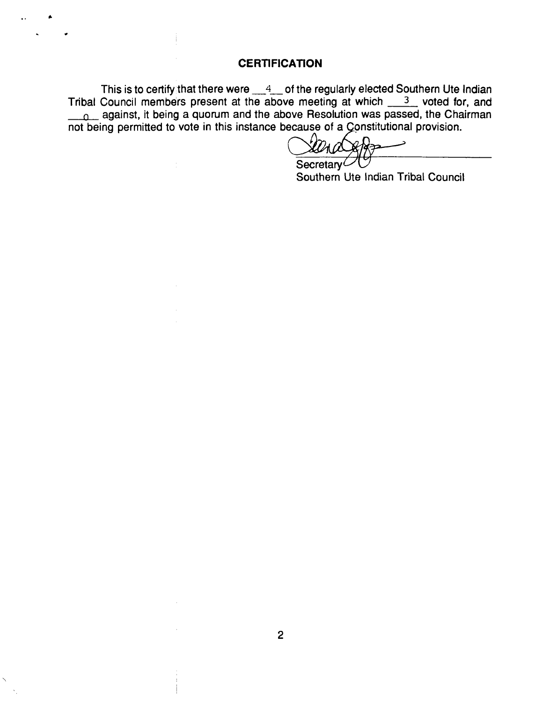### **CERTiFICATiON**

**This is to certify that there were 4 of the regularly elected Southern Ute Indian Tnbal Council members present at the above meeting at which <sup>3</sup> voted for, and <sup>o</sup> against, it being a quorum and the above Resolution was passed, the Chairman not being permitted to vote in this instance because of a onstitutional provision.**

Secretary<sup>L</sup>

**Southern Ute Indian Tribal Council**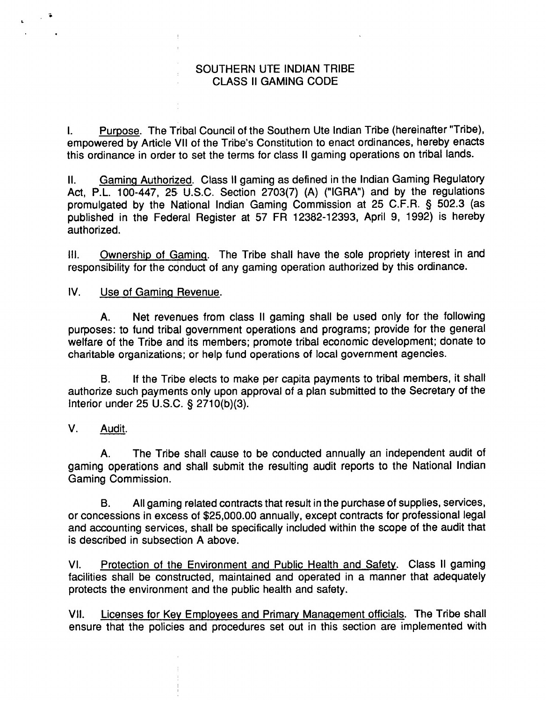### **SOUTHERN UTE INDIAN TRIBE CLASS II GAMING CODE**

**I. Purpose The Tribal Council of the Southern Ute Indian Tribe (hereinafter Tribe), empowered** by Article VII of the Tribe's Constitution to enact ordinances, hereby enacts **this ordinance in order to set the terms for class II gaming operations on tribal lands.**

**II. Gaming Authorized Class II gaming as defined in the Indian Gaming Regulatory Act, P.L. 100-447, 25. U.S.C. Section 2703(7) (A) (IGRA) and by the regulations promulgated by the National Indian Gaming Commission at 25 C.F.R. § 502.3 (as published in the Federal Register at 57 FR 12382-12393, April 9, 1992) is hereby authorized.**

**III. Ownership of Gaming The Tribe shall have the sole propriety interest in and responsibility for the conduct of any gaming operation authorized by this ordinance.**

**IV. Use of Gaming Revenue**

**A. Net revenues from class II gaming shall be used only for the following purposes: to fund tribal government operations and programs; provide for the general welfare of the Tribe and its members; promote tribal economic development; donate to charitable organizations; or help fund operations of local government agencies.**

**B. If the Tribe elects to make per capita payments to tribal members, it shall authorize such payments only upon approval of a plan submitted to the Secretary of the Interior under 25 U.S.C. § 271 0(b)(3).**

# **V. Audit**

**S**

**A. The Tribe shall cause to be conducted annually an independent audit of gaming operations and shall submit the resulting audit reports to the National Indian Gaming Commission.**

**B. All gaming related contracts that result in the purchase of supplies, services, or concessions in excess of \$25,000.00 annually, except contracts for professional legal and accounting services, shall be specifically included within the scope of the audit that is described in subsection A above.**

**VI. Protection of the Environment and Public Health and Safety Class II gaming facilities shall be constructed, maintained and operated in a manner that adequately protects the environment and the public health and safety.**

**VII. Licenses for Key Employees and Primary Management officials The Tribe shall ensure that the policies and procedures set out in this section are implemented with**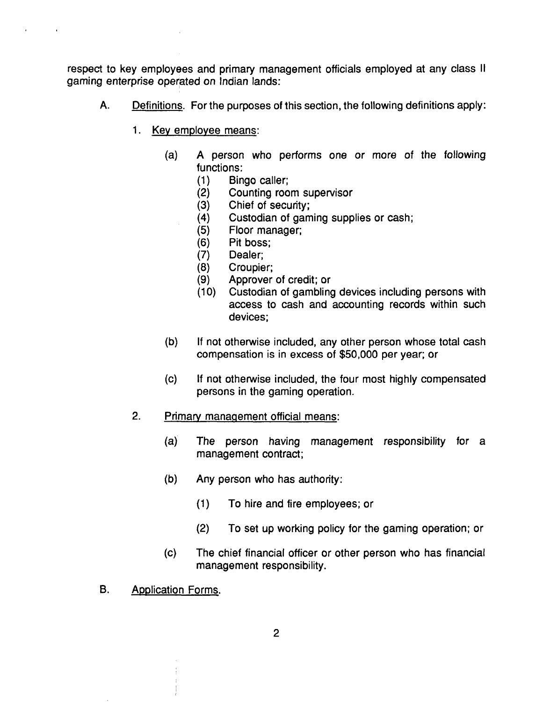**respect to key employees and primary management officials employed at any class II gaming enterprise operated on Indian lands:**

- **A. Definitions For the purposes of this section, the following definitions apply:**
	- **1. Key employee means**
		- **(a) A person who performs one or more of the following functions:**
			- **(1) Bingo caller;**
			- **(2) Counting room supervisor**
			- **(3) Chief of security;**
			- **(4) Custodian of gaming supplies or cash;**
			- **(5) Floor manager;**
			- **(6) Pit boss;**
			- **(7) Dealer;**
			- **(8) Croupier;**
			- **(9) Approver of credit; or**
			- **(10) Custodian of gambling devices including persons with access to cash and accounting records within such devices;**
		- **(b) If not otherwise included, any other person whose total cash compensation is in excess of \$50,000 per year; or**
		- **(c) If not otherwise included, the four most highly compensated persons in the gaming operation.**
	- **2. Primary manaQement official means**
		- **(a) The person having management responsibility for a management contract;**
		- **(b) Any person who has authority:**
			- **(1) To hire and fire employees; or**
			- **(2) To set up working policy for the gaming operation; or**
		- **(c) The chief financial officer or other person who has financial management responsibility.**
- **B. Application Forms**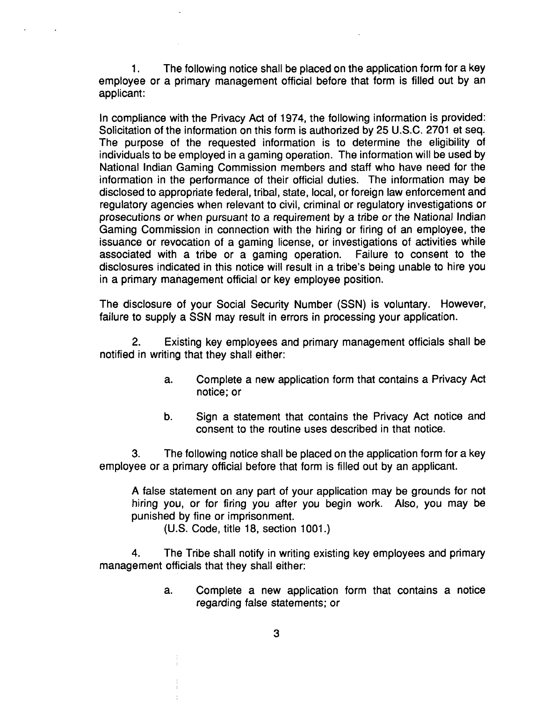**1. The following notice shall be placed on the application form for a key employee or a primary management official before that form is filled out by an applicant:**

**In compliance with the Privacy Act of 1974, the following information is provided: Solicitation of the information on this form is authorized by 25 U.S.C. 2701 et seq. The purpose of the requested information is to determine the eligibility of individuals to be employed in a gaming operation. The information will be used by National Indian Gaming Commission members and staff who have need for the information in the performance of their official duties. The information may be disclosed to appropriate federal, tribal, state, local, or foreign law enforcement and regulatory agencies when relevant to civil, criminal or regulatory investigations or prosecutions or when pursuant to a requirement by a tribe or the National Indian Gaming Commission in connection with the hiring or firing of an employee, the issuance or revocation of a gaming license, or investigations of activities while associated with a tribe or a gaming operation. Failure to consent to the disclosures indicated in this notice will result in a tribes being unable to hire you in a primary management official or key employee position.**

**The disclosure of your Social Security Number (SSN) is voluntary. However, failure to supply <sup>a</sup> SSN may result in errors in processing your application.**

**2. Existing key employees and primary management officials shall be notified in writing that they shall either:**

- **a. Complete a new application form that contains a Privacy Act notice; or**
- **b. Sign a statement that contains the Privacy Act notice and consent to the routine uses described in that notice.**

**3. The following notice shall be placed on the application form for a key employee or a primary official before that form is filled out by an applicant.**

**A false statement on any part of your application may be grounds for not hiring you, or for firing you after you begin work. Also, you may be punished by fine or imprisonment.**

**(U.S. Code, title 18, section 1001.)**

**4. The Tribe shall notify in writing existing key employees and primary management officials that they shall either:**

> **a. Complete a new application form that contains a notice regarding false statements; or**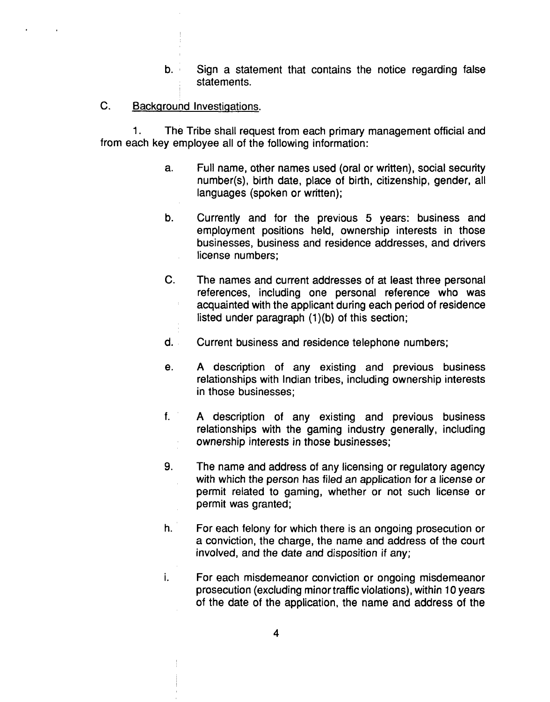- **b. Sign a statement that contains the notice regarding false statements.**
- **C. Background Investigations**

**1. The Tribe shall request from each primary management official and from each key employee all of the following information:**

- **a. Full name, other names used (oral or written), social security number(s), birth date, place of birth, citizenship, gender, all languages (spoken or written);**
- **b. Currently and for the previous 5 years: business and employment positions held, ownership interests in those businesses, business and residence addresses, and drivers license numbers;**
- **C. The names and current addresses of at least three personal references, including one personal reference who was acquainted with the applicant during each period of residence listed under paragraph (1)(b) of this section;**
- **d. Current business and residence telephone numbers;**
- **e. A description of any existing and previous business relationships with Indian tribes, including ownership interests in those businesses;**
- **f. A description of any existing and previous business relationships with the gaming industry generally, including ownership interests in those businesses;**
- **9. The name and address of any licensing or regulatory agency with which the person has filed an application for a license or permit related to gaming, whether or not such license or permit was granted;**
- **h. For each felony for which there is an ongoing prosecution or a conviction, the charge, the name and address of the court involved, and the date and disposition if any;**
- $\mathbf{i}$ . **For each misdemeanor conviction or ongoing misdemeanor prosecution (excluding minor traffic violations), within 10 years of the date of the application, the name and address of the**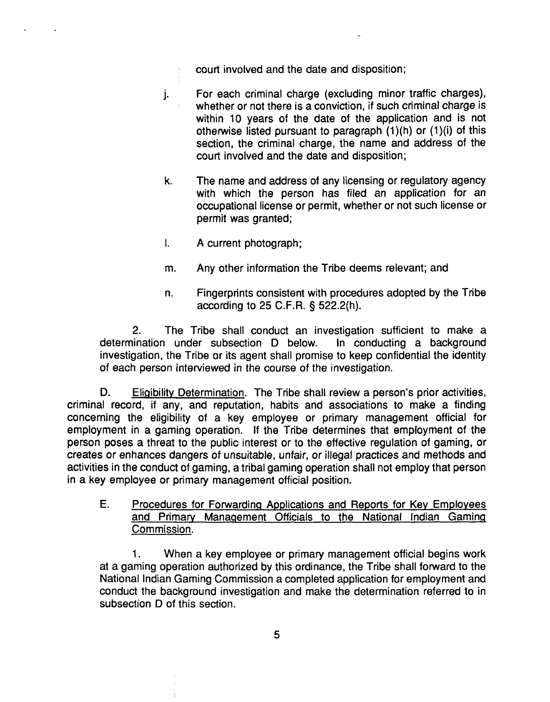- **court involved and the date and disposition;**
- **j. For each criminal charge (excluding minor traffic charges), whether or not there is a conviction, if such criminal charge is within 10 years of the date of the application and is not otherwise listed pursuant to paragraph (1)(h) or (1)(i) of this section, the criminal charge, the name and address of the court involved and the date and disposition;**
- **k. The name and address of any licensing or regulatory agency with which the person has filed an application for an occupational license or permit, whether or not such license or permit was granted;**
- **I. A current photograph;**
- **m. Any other information the Tribe deems relevant; and**
- **n. Fingerprints consistent with procedures adopted by the Tribe according to 25 C.F.R. § 522.2(h).**

**2. The Tribe shall conduct an investigation sufficient to make a determination under subsection D below. In conducting a background investigation, the Tribe or its agent shall promise to keep confidential the identity of each person interviewed in the course of the investigation.**

**D. Eligibility** Determination. The Tribe shall review a person's prior activities, **criminal record, if any, and reputation, habits and associations to make a finding concerning the eligibility of a key employee or primary management official for employment in a gaming operation. If the Tribe determines that employment of the person poses** a threat to the public interest or to the effective regulation of gaming, or **creates or enhances dangers of unsuitable, unfair, or illegal practices and methods and activities in the conduct of gaming, a tribal gaming operation shall not employ that person in a key employee or primary management official position.**

**E. Procedures for Forwarding Applications and Reports for Key Employees and Primary Management Officials to the National Indian Gaming Commission**

**1. When <sup>a</sup> key employee or primary management official begins work at a gaming operation authorized by this ordinance, the Tribe shall forward to the National Indian Gaming Commission a completed application for employment and conduct the background investigation and make the determination referred to in subsection D of this section.**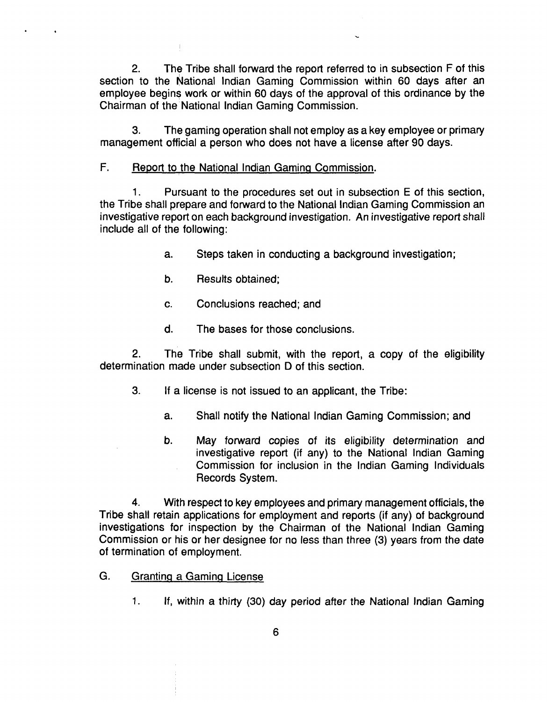**2. The Tribe shall forward the report referred to in subsection F of this section to the National Indian Gaming Commission within 60 days after an employee begins work or within 60 days of the approval of this ordinance by the Chairman of the National Indian Gaming Commission.** 

**3. The gaming operation shall not employ as a key employee or primary management official a person who does not have a license after 90 days.**

### **F. Report to the National Indian GaminQ Commission**

**1. Pursuant to the procedures set out in subsection E of this section, the Tribe shall prepare and forward to the National Indian Gaming Commission an investigative report on each background investigation. An investigative report shall include all of the following:**

- **a. Steps taken in conducting a background investigation;**
- **b. Results obtained;**
- **c. Conclusions reached; and**
- **d. The bases for those conclusions.**

**2. The Tribe shall submit, with the report, a copy of the eligibility determination made under subsection D of this section.**

- **3. If a license is not issued to an applicant, the Tribe:**
	- **a. Shall notify the National Indian Gaming Commission; and**
	- **b. May forward copies of its eligibility determination and investigative report (if any) to the National Indian Gaming Commission for inclusion in the Indian Gaming Individuals Records System.**

**4. With respect to key employees and primary management officials, the Tribe shall retain applications for employment and reports (if any) of background investigations for inspection by the Chairman of the National Indian Gaming Commission or his or her designee for no less than three (3) years from the date of termination of employment.**

- **G. Grantinci a GaminQ License**
	- **1. If, within a thirty (30) day period after the National Indian Gaming**